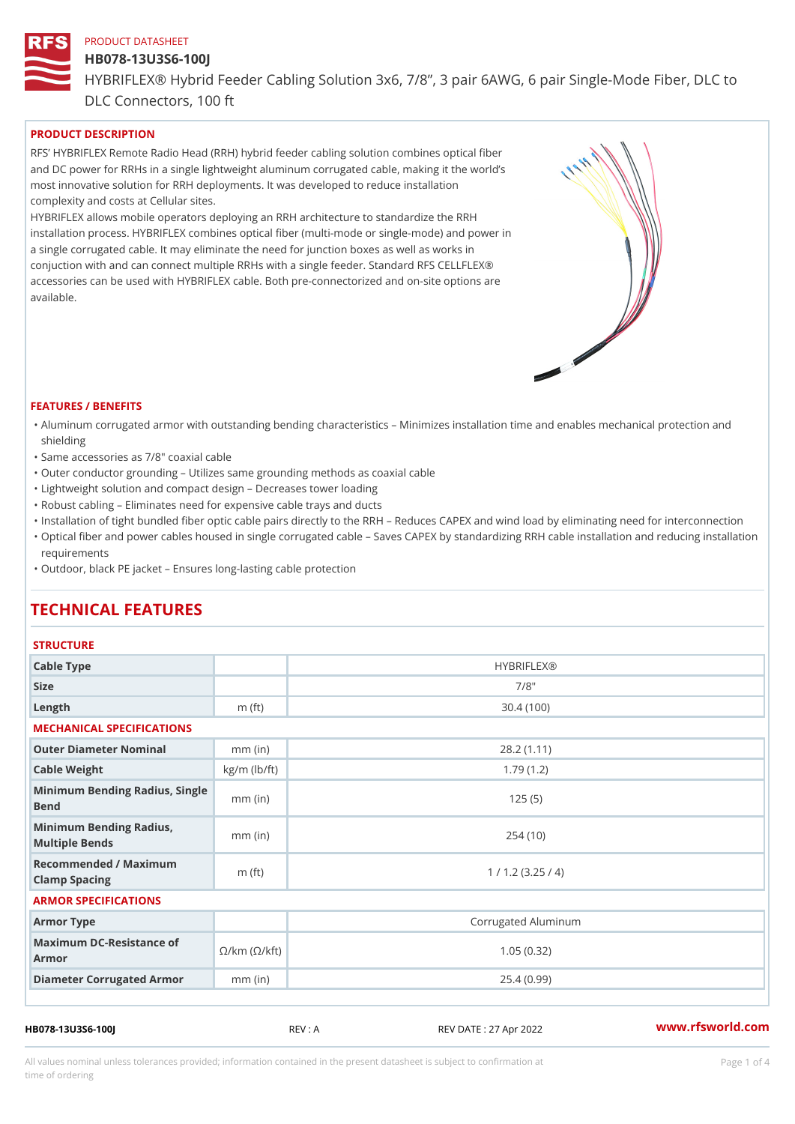# HB078-13U3S6-100J

HYBRIFLEX® Hybrid Feeder Cabling Solution 3x6, 7/8, 3 pair 6AWG, 6 DLC Connectors, 100 ft

# PRODUCT DESCRIPTION

RFS HYBRIFLEX Remote Radio Head (RRH) hybrid feeder cabling solution combines optical fibe and DC power for RRHs in a single lightweight aluminum corrugated cable, making it the world s most innovative solution for RRH deployments. It was developed to reduce installation complexity and costs at Cellular sites.

HYBRIFLEX allows mobile operators deploying an RRH architecture to standardize the RRH installation process. HYBRIFLEX combines optical fiber (multi-mode or single-mode) and power in a single corrugated cable. It may eliminate the need for junction boxes as well as works in conjuction with and can connect multiple RRHs with a single feeder. Standard RFS CELLFLEX® accessories can be used with HYBRIFLEX cable. Both pre-connectorized and on-site options are available.

#### FEATURES / BENEFITS

- "Aluminum corrugated armor with outstanding bending characteristics Minimizes installation time a shielding
- "Same accessories as 7/8" coaxial cable
- "Outer conductor grounding Utilizes same grounding methods as coaxial cable
- "Lightweight solution and compact design Decreases tower loading
- "Robust cabling Eliminates need for expensive cable trays and ducts
- "Installation of tight bundled fiber optic cable pairs directly to the RRH and belogies CAPEX and wind  $\theta$
- "Optical fiber and power cables housed in single corrugated cable  $\,$  Saves CAPEX by standardiz $\,$ ng  $\,$ requirements
- "Outdoor, black PE jacket Ensures long-lasting cable protection

# TECHNICAL FEATURES

#### **STRUCTURE**

| Cable Type                                                             |                    | <b>HYBRIFLEX®</b>   |  |  |
|------------------------------------------------------------------------|--------------------|---------------------|--|--|
| Size                                                                   |                    | $7/8$ "             |  |  |
| Length                                                                 | m $(ft)$           | 30.4(100)           |  |  |
| MECHANICAL SPECIFICATIONS                                              |                    |                     |  |  |
| Outer Diameter Nominal                                                 | $mm$ (in)          | 28.2(1.11)          |  |  |
| Cable Weight                                                           | $kg/m$ ( $lb/ft$ ) | 1.79(1.2)           |  |  |
| Minimum Bending Radius, Single<br>Bend                                 |                    | 125(5)              |  |  |
| Minimum Bending Radius,<br>Multiple Bends                              | $mm$ (in)          | 254(10)             |  |  |
| Recommended / Maximum<br>Clamp Spacing                                 | m $(ft)$           | 1 / 1.2 (3.25 / 4)  |  |  |
| ARMOR SPECIFICATIONS                                                   |                    |                     |  |  |
| Armor Type                                                             |                    | Corrugated Aluminum |  |  |
| Maximum DC-Resistance $\mathcal{S}/k$ m ( $\mathcal{O}/k$ ft)<br>Armor |                    | 1.05(0.32)          |  |  |
| Diameter Corrugated Armomm (in)                                        |                    | 25.4(0.99)          |  |  |
|                                                                        |                    |                     |  |  |

HB078-13U3S6-100J REV : A REV DATE : 27 Apr 2022 [www.](https://www.rfsworld.com)rfsworld.com

All values nominal unless tolerances provided; information contained in the present datasheet is subject to Pcapgeligim attio time of ordering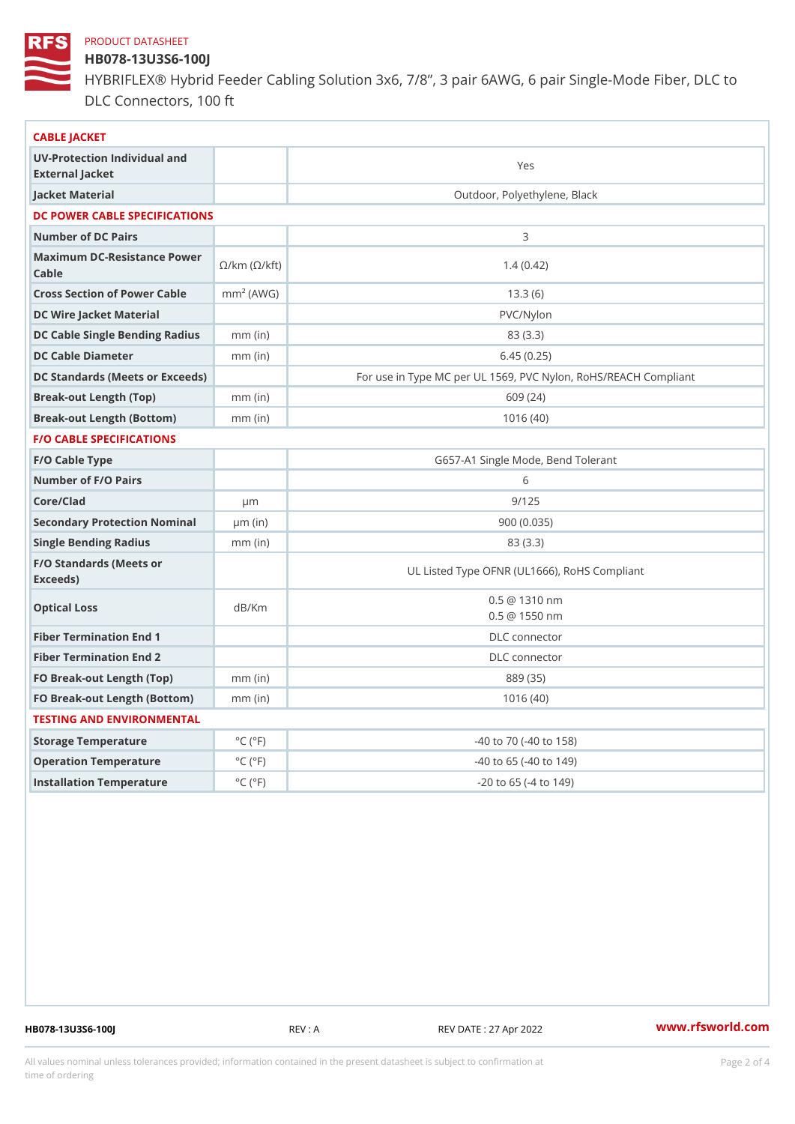# HB078-13U3S6-100J

HYBRIFLEX® Hybrid Feeder Cabling Solution 3x6, 7/8, 3 pair 6AWG, 6 DLC Connectors, 100 ft

| CABLE JACKET                                    |                             |                                                      |
|-------------------------------------------------|-----------------------------|------------------------------------------------------|
| UV-Protection Individual and<br>External Jacket |                             | Yes                                                  |
| Jacket Material                                 |                             | Outdoor, Polyethylene, Black                         |
| DC POWER CABLE SPECIFICATIONS                   |                             |                                                      |
| Number of DC Pairs                              |                             | 3                                                    |
| Maximum DC-Resistance Power (©/kft)<br>$C$ able |                             | 1.4(0.42)                                            |
| Cross Section of Power Chambre (AWG)            |                             | 13.3(6)                                              |
| DC Wire Jacket Material                         |                             | PVC/Nylon                                            |
| DC Cable Single Bending Rhandi(uish)            |                             | 83 (3.3)                                             |
| DC Cable Diameter                               | $mm$ (in)                   | 6.45(0.25)                                           |
| DC Standards (Meets or Exceeds)                 |                             | For use in Type MC per UL 1569, PVC Nylon, RoHS/REAC |
| Break-out Length (Top)                          | $mm$ (in)                   | 609 (24)                                             |
| Break-out Length (Bottcm)mm (in)                |                             | 1016(40)                                             |
| <b>F/O CABLE SPECIFICATIONS</b>                 |                             |                                                      |
| F/O Cable Type                                  |                             | G657-A1 Single Mode, Bend Tolerant                   |
| Number of F/O Pairs                             |                             | 6                                                    |
| Core/Clad                                       | $\mu$ m                     | 9/125                                                |
| Secondary Protection Nomimal(in)                |                             | 900(0.035)                                           |
| Single Bending Radius                           | $mm$ (in)                   | 83 (3.3)                                             |
| F/O Standards (Meets or<br>Exceeds)             |                             | UL Listed Type OFNR (UL1666), RoHS Compliant         |
| Optical Loss                                    | dB/Km                       | $0.5 \ @ \ 1310 \ nm$<br>$0.5 \ @ \ 1550 \ nm$       |
| Fiber Termination End                           |                             | DLC connector                                        |
| Fiber Termination End 2                         |                             | DLC connector                                        |
| FO Break-out Length (Top)mm (in)                |                             | 889 (35)                                             |
| FO Break-out Length (Bottomm) (in)              |                             | 1016(40)                                             |
| TESTING AND ENVIRONMENTAL                       |                             |                                                      |
| Storage Temperature                             | $^{\circ}$ C ( $^{\circ}$ F | $-40$ to $70$ ( $-40$ to $158$ )                     |
| Operation Temperature                           | $^{\circ}$ C ( $^{\circ}$ F | $-40$ to 65 ( $-40$ to 149)                          |
| Installation Temperature                        | $^{\circ}$ C ( $^{\circ}$ F | $-20$ to 65 ( $-4$ to 149)                           |
|                                                 |                             |                                                      |

HB078-13U3S6-100J REV : A REV DATE : 27 Apr 2022 [www.](https://www.rfsworld.com)rfsworld.com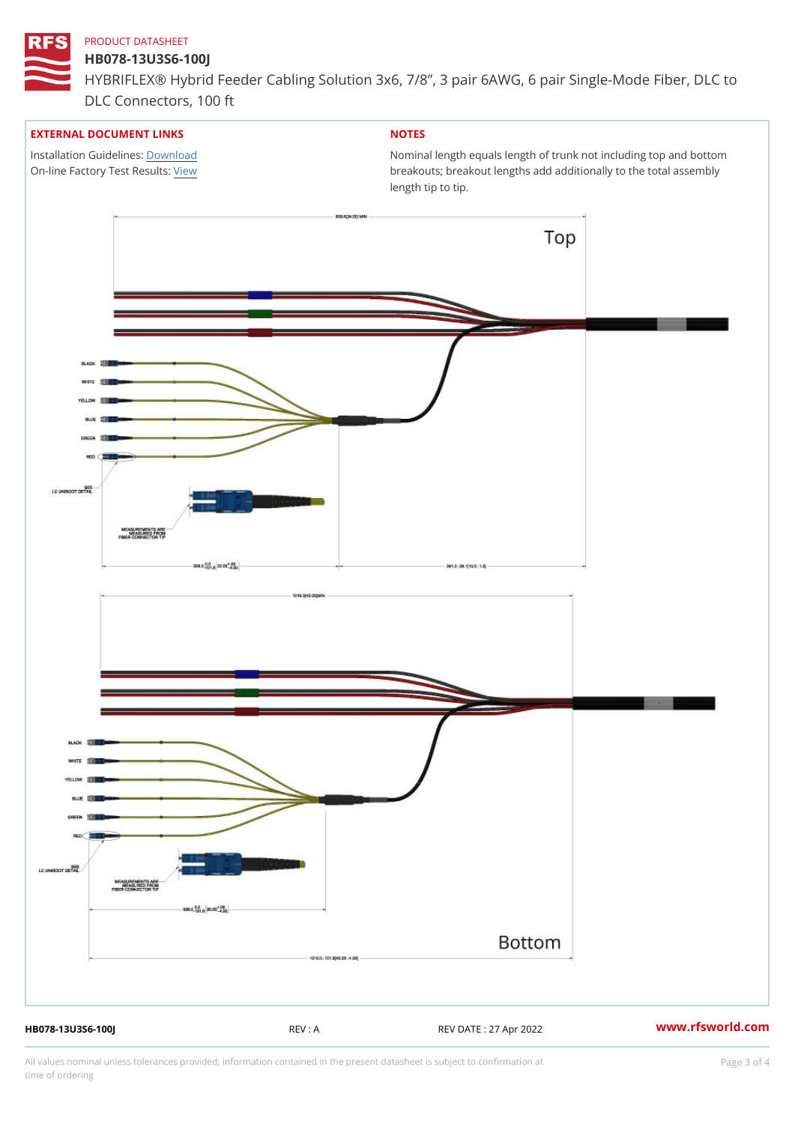# HB078-13U3S6-100J

HYBRIFLEX® Hybrid Feeder Cabling Solution 3x6, 7/8, 3 pair 6AWG, 6 DLC Connectors, 100 ft

# EXTERNAL DOCUMENT LINKS

Installation Guidelwinessad On-line Factory Te[s](https://www.rfsworld.com/pictures/userfiles/programs/AAST Latest Version.zip)/teRvesults:

# NOTES

Nominal length equals length of trunk not including t breakouts; breakout lengths add additionally to the t length tip to tip.

HB078-13U3S6-100J REV : A REV DATE : 27 Apr 2022 [www.](https://www.rfsworld.com)rfsworld.com

All values nominal unless tolerances provided; information contained in the present datasheet is subject to Pcapgeling that i time of ordering